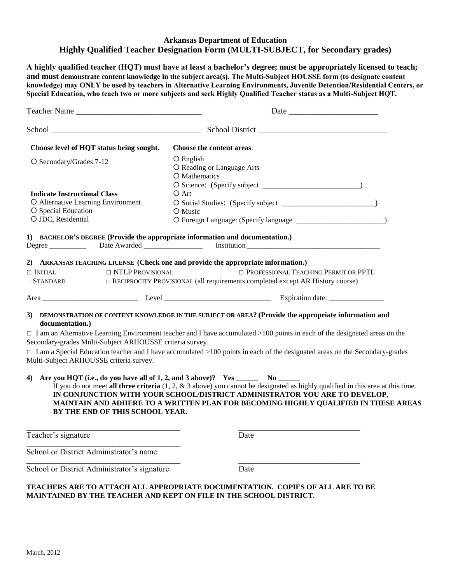## **Arkansas Department of Education Highly Qualified Teacher Designation Form (MULTI-SUBJECT, for Secondary grades)**

**A highly qualified teacher (HQT) must have at least a bachelor's degree; must be appropriately licensed to teach; and must demonstrate content knowledge in the subject area(s). The Multi-Subject HOUSSE form (to designate content knowledge) may ONLY be used by teachers in Alternative Learning Environments, Juvenile Detention/Residential Centers, or Special Education, who teach two or more subjects and seek Highly Qualified Teacher status as a Multi-Subject HQT.**

| Teacher Name                                                                                                                                                                                                                                                                                                                                                                                                                     | Date                                                                                                                                                                                                                                                                                                                                                                                                                                                                                                                                                                                                                                                                                                                                                                                                                                                                                                                  |
|----------------------------------------------------------------------------------------------------------------------------------------------------------------------------------------------------------------------------------------------------------------------------------------------------------------------------------------------------------------------------------------------------------------------------------|-----------------------------------------------------------------------------------------------------------------------------------------------------------------------------------------------------------------------------------------------------------------------------------------------------------------------------------------------------------------------------------------------------------------------------------------------------------------------------------------------------------------------------------------------------------------------------------------------------------------------------------------------------------------------------------------------------------------------------------------------------------------------------------------------------------------------------------------------------------------------------------------------------------------------|
|                                                                                                                                                                                                                                                                                                                                                                                                                                  |                                                                                                                                                                                                                                                                                                                                                                                                                                                                                                                                                                                                                                                                                                                                                                                                                                                                                                                       |
| Choose level of HQT status being sought.                                                                                                                                                                                                                                                                                                                                                                                         | Choose the content areas.                                                                                                                                                                                                                                                                                                                                                                                                                                                                                                                                                                                                                                                                                                                                                                                                                                                                                             |
| O Secondary/Grades 7-12                                                                                                                                                                                                                                                                                                                                                                                                          | $O$ English<br>O Reading or Language Arts<br>O Mathematics                                                                                                                                                                                                                                                                                                                                                                                                                                                                                                                                                                                                                                                                                                                                                                                                                                                            |
| <b>Indicate Instructional Class</b><br>O Alternative Learning Environment<br>O Special Education<br>O JDC, Residential                                                                                                                                                                                                                                                                                                           | O Art<br>O Music                                                                                                                                                                                                                                                                                                                                                                                                                                                                                                                                                                                                                                                                                                                                                                                                                                                                                                      |
| 1) BACHELOR'S DEGREE (Provide the appropriate information and documentation.)                                                                                                                                                                                                                                                                                                                                                    |                                                                                                                                                                                                                                                                                                                                                                                                                                                                                                                                                                                                                                                                                                                                                                                                                                                                                                                       |
| $\Box$ NTLP PROVISIONAL<br>$\Box$ Initial<br>$\Box$ STANDARD<br>documentation.)<br>Secondary-grades Multi-Subject ARHOUSSE criteria survey.<br>Multi-Subject ARHOUSSE criteria survey.<br>4) Are you HQT (i.e., do you have all of 1, 2, and 3 above)? Yes ________ No ____<br>BY THE END OF THIS SCHOOL YEAR.                                                                                                                   | 2) ARKANSAS TEACHING LICENSE (Check one and provide the appropriate information.)<br><b>ID PROFESSIONAL TEACHING PERMIT OR PPTL</b><br>□ RECIPROCITY PROVISIONAL (all requirements completed except AR History course)<br>3) DEMONSTRATION OF CONTENT KNOWLEDGE IN THE SUBJECT OR AREA? (Provide the appropriate information and<br>$\Box$ I am an Alternative Learning Environment teacher and I have accumulated >100 points in each of the designated areas on the<br>$\Box$ I am a Special Education teacher and I have accumulated >100 points in each of the designated areas on the Secondary-grades<br>If you do not meet all three criteria $(1, 2, \& 3$ above) you cannot be designated as highly qualified in this area at this time.<br>IN CONJUNCTION WITH YOUR SCHOOL/DISTRICT ADMINISTRATOR YOU ARE TO DEVELOP,<br>MAINTAIN AND ADHERE TO A WRITTEN PLAN FOR BECOMING HIGHLY QUALIFIED IN THESE AREAS |
| Teacher's signature                                                                                                                                                                                                                                                                                                                                                                                                              | Date                                                                                                                                                                                                                                                                                                                                                                                                                                                                                                                                                                                                                                                                                                                                                                                                                                                                                                                  |
| School or District Administrator's name                                                                                                                                                                                                                                                                                                                                                                                          |                                                                                                                                                                                                                                                                                                                                                                                                                                                                                                                                                                                                                                                                                                                                                                                                                                                                                                                       |
| School or District Administrator's signature                                                                                                                                                                                                                                                                                                                                                                                     | Date                                                                                                                                                                                                                                                                                                                                                                                                                                                                                                                                                                                                                                                                                                                                                                                                                                                                                                                  |
| $\overline{m}$ $\overline{n}$ $\overline{n}$ $\overline{n}$ $\overline{n}$ $\overline{n}$ $\overline{n}$ $\overline{n}$ $\overline{n}$ $\overline{n}$ $\overline{n}$ $\overline{n}$ $\overline{n}$ $\overline{n}$ $\overline{n}$ $\overline{n}$ $\overline{n}$ $\overline{n}$ $\overline{n}$ $\overline{n}$ $\overline{n}$ $\overline{n}$ $\overline{n}$ $\overline{n}$ $\overline{n}$ $\overline{n}$ $\overline{n}$ $\overline$ | $m + m + \alpha$                                                                                                                                                                                                                                                                                                                                                                                                                                                                                                                                                                                                                                                                                                                                                                                                                                                                                                      |

**TEACHERS ARE TO ATTACH ALL APPROPRIATE DOCUMENTATION. COPIES OF ALL ARE TO BE MAINTAINED BY THE TEACHER AND KEPT ON FILE IN THE SCHOOL DISTRICT.**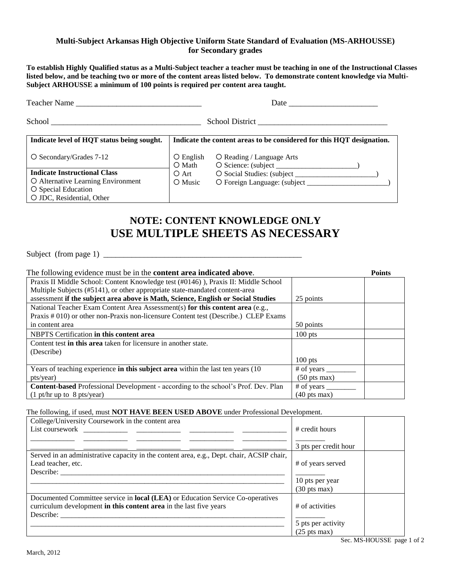#### **Multi-Subject Arkansas High Objective Uniform State Standard of Evaluation (MS-ARHOUSSE) for Secondary grades**

**To establish Highly Qualified status as a Multi-Subject teacher a teacher must be teaching in one of the Instructional Classes listed below, and be teaching two or more of the content areas listed below. To demonstrate content knowledge via Multi-Subject ARHOUSSE a minimum of 100 points is required per content area taught.** 

| Teacher Name                               |                              |                                                                       |  |
|--------------------------------------------|------------------------------|-----------------------------------------------------------------------|--|
|                                            |                              |                                                                       |  |
| Indicate level of HQT status being sought. |                              | Indicate the content areas to be considered for this HQT designation. |  |
| $\overline{O}$ Secondary/Grades 7-12       | $\bigcirc$ English<br>O Math | O Reading / Language Arts                                             |  |
| <b>Indicate Instructional Class</b>        | O Art                        |                                                                       |  |
| O Alternative Learning Environment         | O Music                      |                                                                       |  |
| O Special Education                        |                              |                                                                       |  |
| O JDC, Residential, Other                  |                              |                                                                       |  |

# **NOTE: CONTENT KNOWLEDGE ONLY USE MULTIPLE SHEETS AS NECESSARY**

Subject (from page 1) \_\_\_\_\_\_\_\_\_\_\_\_\_\_\_\_\_\_\_\_\_\_\_\_\_\_\_\_\_\_\_\_\_\_\_\_\_\_\_\_\_\_\_\_\_\_\_\_\_

| The following evidence must be in the <b>content area indicated above</b> .               |                                       | <b>Points</b> |
|-------------------------------------------------------------------------------------------|---------------------------------------|---------------|
| Praxis II Middle School: Content Knowledge test (#0146)), Praxis II: Middle School        |                                       |               |
| Multiple Subjects (#5141), or other appropriate state-mandated content-area               |                                       |               |
| assessment if the subject area above is Math, Science, English or Social Studies          | 25 points                             |               |
| National Teacher Exam Content Area Assessment(s) for this content area (e.g.,             |                                       |               |
| Praxis # 010) or other non-Praxis non-licensure Content test (Describe.) CLEP Exams       |                                       |               |
| in content area                                                                           | 50 points                             |               |
| NBPTS Certification in this content area                                                  | $100$ pts                             |               |
| Content test <b>in this area</b> taken for licensure in another state.                    |                                       |               |
| (Describe)                                                                                |                                       |               |
|                                                                                           | $100$ pts                             |               |
| Years of teaching experience in this subject area within the last ten years (10)          | $#$ of years $\overline{\phantom{a}}$ |               |
| pts/year)                                                                                 | $(50 \text{ pts} \text{ max})$        |               |
| <b>Content-based</b> Professional Development - according to the school's Prof. Dev. Plan | # of years                            |               |
| $(1 \text{ pt/hr up to } 8 \text{ pts/year})$                                             | $(40 \text{ pts} \text{ max})$        |               |

### The following, if used, must **NOT HAVE BEEN USED ABOVE** under Professional Development.

| College/University Coursework in the content area<br>List coursework by the contract of the contract of the contract of the contract of the contract of the contract of the contract of the contract of the contract of the contract of the contract of the contract of the contrac | # credit hours                 |
|-------------------------------------------------------------------------------------------------------------------------------------------------------------------------------------------------------------------------------------------------------------------------------------|--------------------------------|
|                                                                                                                                                                                                                                                                                     | 3 pts per credit hour          |
| Served in an administrative capacity in the content area, e.g., Dept. chair, ACSIP chair,                                                                                                                                                                                           |                                |
| Lead teacher, etc.                                                                                                                                                                                                                                                                  | # of years served              |
| Describe:                                                                                                                                                                                                                                                                           |                                |
|                                                                                                                                                                                                                                                                                     | 10 pts per year                |
|                                                                                                                                                                                                                                                                                     | $(30 \text{ pts} \text{ max})$ |
| Documented Committee service in <b>local (LEA)</b> or Education Service Co-operatives                                                                                                                                                                                               |                                |
| curriculum development in this content area in the last five years                                                                                                                                                                                                                  | # of activities                |
| Describe:                                                                                                                                                                                                                                                                           |                                |
|                                                                                                                                                                                                                                                                                     | 5 pts per activity             |
|                                                                                                                                                                                                                                                                                     | $(25 \text{ pts} \text{ max})$ |